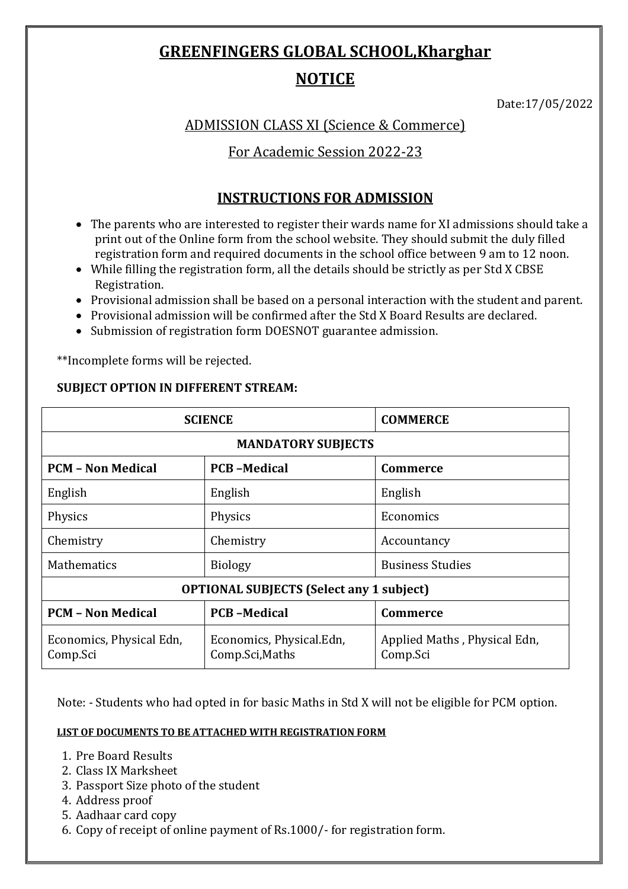# **GREENFINGERS GLOBAL SCHOOL,Kharghar**

# **NOTICE**

Date:17/05/2022

ADMISSION CLASS XI (Science & Commerce)

For Academic Session 2022-23

# **INSTRUCTIONS FOR ADMISSION**

- The parents who are interested to register their wards name for XI admissions should take a print out of the Online form from the school website. They should submit the duly filled registration form and required documents in the school office between 9 am to 12 noon.
- While filling the registration form, all the details should be strictly as per Std X CBSE Registration.
- Provisional admission shall be based on a personal interaction with the student and parent.
- Provisional admission will be confirmed after the Std X Board Results are declared.
- Submission of registration form DOESNOT guarantee admission.

\*\*Incomplete forms will be rejected.

## **SUBJECT OPTION IN DIFFERENT STREAM:**

| <b>SCIENCE</b>                                  |                                             | <b>COMMERCE</b>                          |
|-------------------------------------------------|---------------------------------------------|------------------------------------------|
| <b>MANDATORY SUBJECTS</b>                       |                                             |                                          |
| <b>PCM - Non Medical</b>                        | <b>PCB-Medical</b>                          | Commerce                                 |
| English                                         | English                                     | English                                  |
| Physics                                         | Physics                                     | Economics                                |
| Chemistry                                       | Chemistry                                   | Accountancy                              |
| <b>Mathematics</b>                              | <b>Biology</b>                              | <b>Business Studies</b>                  |
| <b>OPTIONAL SUBJECTS (Select any 1 subject)</b> |                                             |                                          |
| <b>PCM - Non Medical</b>                        | <b>PCB-Medical</b>                          | <b>Commerce</b>                          |
| Economics, Physical Edn,<br>Comp.Sci            | Economics, Physical.Edn,<br>Comp.Sci, Maths | Applied Maths, Physical Edn,<br>Comp.Sci |

Note: - Students who had opted in for basic Maths in Std X will not be eligible for PCM option.

#### **LIST OF DOCUMENTS TO BE ATTACHED WITH REGISTRATION FORM**

- 1. Pre Board Results
- 2. Class IX Marksheet
- 3. Passport Size photo of the student
- 4. Address proof
- 5. Aadhaar card copy
- 6. Copy of receipt of online payment of Rs.1000/- for registration form.